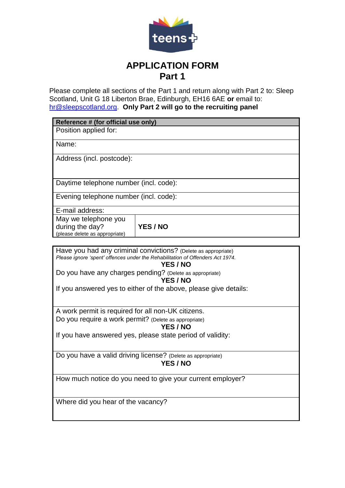

## **APPLICATION FORM Part 1**

Please complete all sections of the Part 1 and return along with Part 2 to: Sleep Scotland, Unit G 18 Liberton Brae, Edinburgh, EH16 6AE **or** email to: [hr@sleepscotland.org.](mailto:hr@sleepscotland.org) **Only Part 2 will go to the recruiting panel**

**Reference # (for official use only)**

Position applied for:

Name:

Address (incl. postcode):

Daytime telephone number (incl. code):

Evening telephone number (incl. code):

E-mail address:

May we telephone you during the day? (please delete as appropriate)

**YES / NO**

Have you had any criminal convictions? (Delete as appropriate) *Please ignore 'spent' offences under the Rehabilitation of Offenders Act 1974.* 

**YES / NO**

Do you have any charges pending? (Delete as appropriate)

## **YES / NO**

If you answered yes to either of the above, please give details:

A work permit is required for all non-UK citizens. Do you require a work permit? (Delete as appropriate)

**YES / NO**

If you have answered yes, please state period of validity:

Do you have a valid driving license? (Delete as appropriate) **YES / NO**

How much notice do you need to give your current employer?

Where did you hear of the vacancy?